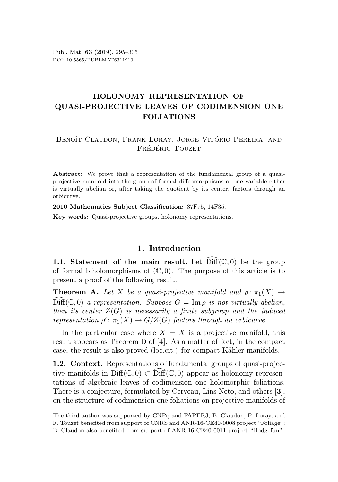# HOLONOMY REPRESENTATION OF QUASI-PROJECTIVE LEAVES OF CODIMENSION ONE FOLIATIONS

# BENOÎT CLAUDON, FRANK LORAY, JORGE VITÓRIO PEREIRA, AND FRÉDÉRIC TOUZET

Abstract: We prove that a representation of the fundamental group of a quasiprojective manifold into the group of formal diffeomorphisms of one variable either is virtually abelian or, after taking the quotient by its center, factors through an orbicurve.

2010 Mathematics Subject Classification: 37F75, 14F35.

Key words: Quasi-projective groups, holonomy representations.

### 1. Introduction

1.1. Statement of the main result. Let  $\text{Diff}(\mathbb{C},0)$  be the group of formal biholomorphisms of  $(\mathbb{C}, 0)$ . The purpose of this article is to present a proof of the following result.

<span id="page-0-0"></span>**Theorem A.** Let X be a quasi-projective manifold and  $\rho: \pi_1(X) \rightarrow$  $\widehat{\text{Diff}}(\mathbb{C},0)$  a representation. Suppose  $G = \text{Im }\rho$  is not virtually abelian, then its center  $Z(G)$  is necessarily a finite subgroup and the induced representation  $\rho' : \pi_1(X) \to G/Z(G)$  factors through an orbicurve.

In the particular case where  $X = \overline{X}$  is a projective manifold, this result appears as Theorem D of [[4](#page-9-0)]. As a matter of fact, in the compact case, the result is also proved (loc.cit.) for compact Kähler manifolds.

1.2. Context. Representations of fundamental groups of quasi-projective manifolds in Diff( $\mathbb{C}, 0$ )  $\subset$  Diff( $\mathbb{C}, 0$ ) appear as holonomy representations of algebraic leaves of codimension one holomorphic foliations. There is a conjecture, formulated by Cerveau, Lins Neto, and others [[3](#page-9-1)], on the structure of codimension one foliations on projective manifolds of

The third author was supported by CNPq and FAPERJ; B. Claudon, F. Loray, and F. Touzet benefited from support of CNRS and ANR-16-CE40-0008 project "Foliage"; B. Claudon also benefited from support of ANR-16-CE40-0011 project "Hodgefun".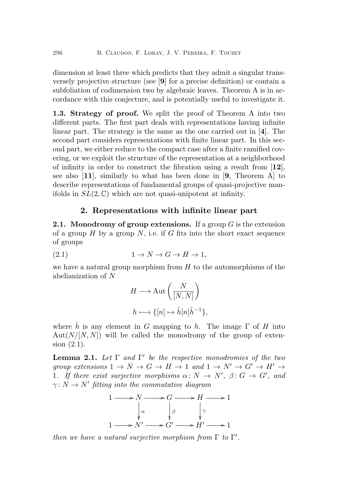dimension at least three which predicts that they admit a singular transversely projective structure (see [[9](#page-10-0)] for a precise definition) or contain a subfoliation of codimension two by algebraic leaves. Theorem [A](#page-0-0) is in accordance with this conjecture, and is potentially useful to investigate it.

1.3. Strategy of proof. We split the proof of Theorem [A](#page-0-0) into two different parts. The first part deals with representations having infinite linear part. The strategy is the same as the one carried out in [[4](#page-9-0)]. The second part considers representations with finite linear part. In this second part, we either reduce to the compact case after a finite ramified covering, or we exploit the structure of the representation at a neighborhood of infinity in order to construct the fibration using a result from [[12](#page-10-1)], see also [[11](#page-10-2)], similarly to what has been done in [[9](#page-10-0), Theorem A] to describe representations of fundamental groups of quasi-projective manifolds in  $SL(2,\mathbb{C})$  which are not quasi-unipotent at infinity.

### 2. Representations with infinite linear part

**2.1.** Monodromy of group extensions. If a group  $G$  is the extension of a group  $H$  by a group  $N$ , i.e. if  $G$  fits into the short exact sequence of groups

$$
(2.1) \t 1 \to N \to G \to H \to 1,
$$

we have a natural group morphism from  $H$  to the automorphisms of the abelianization of N

<span id="page-1-0"></span>
$$
H \longrightarrow \text{Aut}\left(\frac{N}{[N,N]}\right)
$$

$$
h \longmapsto \{[n] \mapsto \hat{h}[n]\hat{h}^{-1}\},\
$$

where h is any element in G mapping to h. The image  $\Gamma$  of H into  $Aut(N/[N, N])$  will be called the monodromy of the group of extension [\(2.1\)](#page-1-0).

<span id="page-1-1"></span>**Lemma 2.1.** Let  $\Gamma$  and  $\Gamma'$  be the respective monodromies of the two group extensions  $1 \to N \to G \to H \to 1$  and  $1 \to N' \to G' \to H' \to$ 1. If there exist surjective morphisms  $\alpha: N \to N', \beta: G \to G'$ , and  $\gamma: N \to N'$  fitting into the commutative diagram



then we have a natural surjective morphism from  $\Gamma$  to  $\Gamma'$ .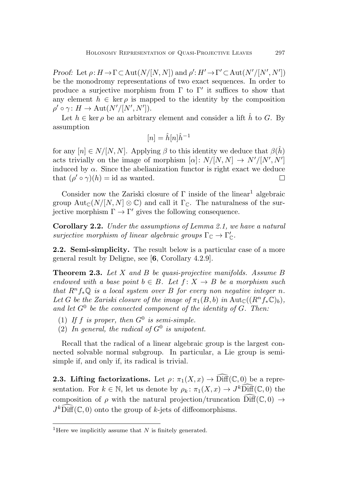Proof: Let  $\rho: H \to \Gamma \subset \text{Aut}(N/[N, N])$  and  $\rho': H' \to \Gamma' \subset \text{Aut}(N'/[N', N'])$ be the monodromy representations of two exact sequences. In order to produce a surjective morphism from  $\Gamma$  to  $\Gamma'$  it suffices to show that any element  $h \in \text{ker } \rho$  is mapped to the identity by the composition  $\rho' \circ \gamma \colon H \to \text{Aut}(N'/[N',N'])$ .

Let  $h \in \text{ker } \rho$  be an arbitrary element and consider a lift h to G. By assumption

$$
[n] = \hat{h}[n]\hat{h}^{-1}
$$

for any  $[n] \in N/[N, N]$ . Applying  $\beta$  to this identity we deduce that  $\beta(\hat{h})$ acts trivially on the image of morphism  $[\alpha]: N/[N, N] \rightarrow N'/[N', N']$ induced by  $\alpha$ . Since the abelianization functor is right exact we deduce that  $(\rho' \circ \gamma)(h) = id$  as wanted.  $\Box$ 

Consider now the Zariski closure of  $\Gamma$  inside of the linear<sup>[1](#page-2-0)</sup> algebraic group  ${\rm Aut}_{\mathbb{C}}(N/[N, N] \otimes \mathbb{C})$  and call it  $\Gamma_{\mathbb{C}}$ . The naturalness of the surjective morphism  $\Gamma \to \Gamma'$  gives the following consequence.

<span id="page-2-2"></span>Corollary 2.2. Under the assumptions of Lemma [2.1,](#page-1-1) we have a natural surjective morphism of linear algebraic groups  $\Gamma_{\mathbb{C}} \to \Gamma'_{\mathbb{C}}$ .

2.2. Semi-simplicity. The result below is a particular case of a more general result by Deligne, see [[6](#page-9-2), Corollary 4.2.9].

<span id="page-2-1"></span>**Theorem 2.3.** Let X and B be quasi-projective manifolds. Assume B endowed with a base point  $b \in B$ . Let  $f: X \rightarrow B$  be a morphism such that  $R^n f_* \mathbb{Q}$  is a local system over B for every non negative integer n. Let G be the Zariski closure of the image of  $\pi_1(B, b)$  in  $\text{Aut}_{\mathbb{C}}((R^n f_* \mathbb{C})_b)$ , and let  $G^0$  be the connected component of the identity of  $G$ . Then:

- (1) If f is proper, then  $G^0$  is semi-simple.
- (2) In general, the radical of  $G^0$  is unipotent.

Recall that the radical of a linear algebraic group is the largest connected solvable normal subgroup. In particular, a Lie group is semisimple if, and only if, its radical is trivial.

**2.3. Lifting factorizations.** Let  $\rho: \pi_1(X, x) \to \widehat{\text{Diff}}(\mathbb{C}, 0)$  be a representation. For  $k \in \mathbb{N}$ , let us denote by  $\rho_k: \pi_1(X, x) \to J^k\widehat{\text{Diff}}(\mathbb{C}, 0)$  the composition of  $\rho$  with the natural projection/truncation  $\text{Diff}(\mathbb{C},0) \to$  $J^k\widehat{\text{Diff}}(\mathbb C,0)$  onto the group of k-jets of diffeomorphisms.

<span id="page-2-0"></span><sup>&</sup>lt;sup>1</sup>Here we implicitly assume that  $N$  is finitely generated.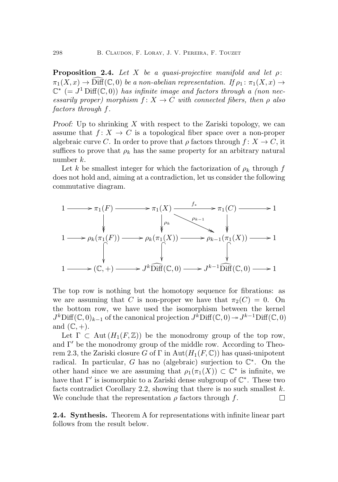<span id="page-3-0"></span>**Proposition 2.4.** Let X be a quasi-projective manifold and let  $\rho$ :  $\pi_1(X, x) \to \widehat{\text{Diff}}(\mathbb{C}, 0)$  be a non-abelian representation. If  $\rho_1 : \pi_1(X, x) \to$  $\mathbb{C}^*$  (=  $J^1$  Diff( $\mathbb{C}, 0$ )) has infinite image and factors through a (non necessarily proper) morphism  $f: X \to C$  with connected fibers, then  $\rho$  also factors through f.

Proof: Up to shrinking  $X$  with respect to the Zariski topology, we can assume that  $f: X \to C$  is a topological fiber space over a non-proper algebraic curve C. In order to prove that  $\rho$  factors through  $f: X \to C$ , it suffices to prove that  $\rho_k$  has the same property for an arbitrary natural number k.

Let k be smallest integer for which the factorization of  $\rho_k$  through f does not hold and, aiming at a contradiction, let us consider the following commutative diagram.



The top row is nothing but the homotopy sequence for fibrations: as we are assuming that C is non-proper we have that  $\pi_2(C) = 0$ . On the bottom row, we have used the isomorphism between the kernel  $J^k$ Diff $(\mathbb{C}, 0)_{k-1}$  of the canonical projection  $J^k$ Diff $(\mathbb{C}, 0) \to J^{k-1}$ Diff $(\mathbb{C}, 0)$ and  $(\mathbb{C}, +)$ .

Let  $\Gamma \subset \text{Aut}(H_1(F,\mathbb{Z}))$  be the monodromy group of the top row, and  $\Gamma'$  be the monodromy group of the middle row. According to Theo-rem [2.3,](#page-2-1) the Zariski closure G of Γ in Aut $(H_1(F, \mathbb{C}))$  has quasi-unipotent radical. In particular, G has no (algebraic) surjection to  $\mathbb{C}^*$ . On the other hand since we are assuming that  $\rho_1(\pi_1(X)) \subset \mathbb{C}^*$  is infinite, we have that  $\Gamma'$  is isomorphic to a Zariski dense subgroup of  $\mathbb{C}^*$ . These two facts contradict Corollary [2.2,](#page-2-2) showing that there is no such smallest  $k$ . We conclude that the representation  $\rho$  factors through f.  $\Box$ 

2.4. Synthesis. Theorem [A](#page-0-0) for representations with infinite linear part follows from the result below.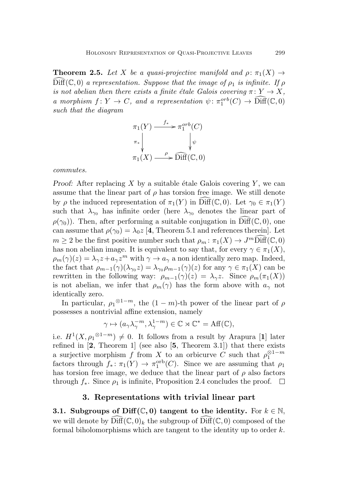<span id="page-4-0"></span>**Theorem 2.5.** Let X be a quasi-projective manifold and  $\rho: \pi_1(X) \to$  $\text{Diff}(\mathbb{C},0)$  a representation. Suppose that the image of  $\rho_1$  is infinite. If  $\rho$ is not abelian then there exists a finite étale Galois covering  $\pi: Y \to X$ , a morphism  $f: Y \to C$ , and a representation  $\psi \colon \pi_1^{orb}(C) \to \widehat{\text{Diff}}(\mathbb{C},0)$ such that the diagram

$$
\pi_1(Y) \xrightarrow{f_*} \pi_1^{orb}(C)
$$
\n
$$
\pi_* \downarrow \qquad \qquad \downarrow \psi
$$
\n
$$
\pi_1(X) \xrightarrow{\rho} \widehat{\text{Diff}}(\mathbb{C}, 0)
$$

commutes.

Proof: After replacing X by a suitable étale Galois covering  $Y$ , we can assume that the linear part of  $\rho$  has torsion free image. We still denote by  $\rho$  the induced representation of  $\pi_1(Y)$  in Diff( $\mathbb{C}, 0$ ). Let  $\gamma_0 \in \pi_1(Y)$ such that  $\lambda_{\gamma_0}$  has infinite order (here  $\lambda_{\gamma_0}$  denotes the linear part of  $\rho(\gamma_0)$ ). Then, after performing a suitable conjugation in Diff(C, 0), one can assume that  $\rho(\gamma_0) = \lambda_0 z$  [[4](#page-9-0), Theorem 5.1 and references therein]. Let  $m \geq 2$  be the first positive number such that  $\rho_m : \pi_1(X) \to J^m \widehat{\text{Diff}}(\mathbb{C},0)$ has non abelian image. It is equivalent to say that, for every  $\gamma \in \pi_1(X)$ ,  $\rho_m(\gamma)(z) = \lambda_\gamma z + a_\gamma z^m$  with  $\gamma \to a_\gamma$  a non identically zero map. Indeed, the fact that  $\rho_{m-1}(\gamma)(\lambda_{\gamma_0}z) = \lambda_{\gamma_0} \rho_{m-1}(\gamma)(z)$  for any  $\gamma \in \pi_1(X)$  can be rewritten in the following way:  $\rho_{m-1}(\gamma)(z) = \lambda_{\gamma}z$ . Since  $\rho_m(\pi_1(X))$ is not abelian, we infer that  $\rho_m(\gamma)$  has the form above with  $a_\gamma$  not identically zero.

In particular,  $\rho_1^{\otimes 1-m}$ , the  $(1-m)$ -th power of the linear part of  $\rho$ possesses a nontrivial affine extension, namely

$$
\gamma \mapsto (a_{\gamma}\lambda_{\gamma}^{-m}, \lambda_{\gamma}^{1-m}) \in \mathbb{C} \rtimes \mathbb{C}^* = \text{Aff}(\mathbb{C}),
$$

i.e.  $H^1(X, \rho_1^{\otimes 1-m}) \neq 0$  $H^1(X, \rho_1^{\otimes 1-m}) \neq 0$  $H^1(X, \rho_1^{\otimes 1-m}) \neq 0$ . It follows from a result by Arapura [1] later refined in  $[2,$  $[2,$  $[2,$  Theorem 1 (see also  $[5,$  $[5,$  $[5,$  Theorem 3.1) that there exists a surjective morphism f from X to an orbicurve C such that  $\rho_1^{\otimes 1-m}$ factors through  $f_* \colon \pi_1(Y) \to \pi_1^{\text{orb}}(C)$ . Since we are assuming that  $\rho_1$ has torsion free image, we deduce that the linear part of  $\rho$  also factors through  $f_*$ . Since  $\rho_1$  is infinite, Proposition [2.4](#page-3-0) concludes the proof.  $\Box$ 

#### 3. Representations with trivial linear part

3.1. Subgroups of Diff( $\mathbb{C}, 0$ ) tangent to the identity. For  $k \in \mathbb{N}$ , we will denote by  $\text{Diff}(\mathbb{C}, 0)_k$  the subgroup of  $\text{Diff}(\mathbb{C}, 0)$  composed of the formal biholomorphisms which are tangent to the identity up to order  $k$ .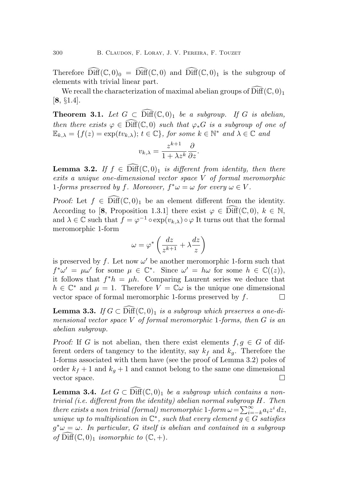Therefore  $\widehat{\text{Diff}}(\mathbb{C},0)_0 = \widehat{\text{Diff}}(\mathbb{C},0)$  and  $\widehat{\text{Diff}}(\mathbb{C},0)_1$  is the subgroup of elements with trivial linear part.

We recall the characterization of maximal abelian groups of  $\text{Diff}(\mathbb C, 0)_1$ [[8](#page-9-6), §1.4].

<span id="page-5-1"></span>**Theorem 3.1.** Let  $G \subset \text{Diff}(\mathbb{C},0)_1$  be a subgroup. If G is abelian, then there exists  $\varphi \in \mathrm{Diff}(\mathbb{C},0)$  such that  $\varphi_*G$  is a subgroup of one of  $\mathbb{E}_{k,\lambda} = \{f(z) = \exp(tv_{k,\lambda}); t \in \mathbb{C}\}, \text{ for some } k \in \mathbb{N}^* \text{ and } \lambda \in \mathbb{C} \text{ and }$ 

$$
v_{k,\lambda} = \frac{z^{k+1}}{1 + \lambda z^k} \frac{\partial}{\partial z}.
$$

<span id="page-5-0"></span>**Lemma 3.2.** If  $f \in \text{Diff}(\mathbb{C}, 0)_1$  is different from identity, then there exits a unique one-dimensional vector space V of formal meromorphic 1-forms preserved by f. Moreover,  $f^*\omega = \omega$  for every  $\omega \in V$ .

Proof: Let  $f \in \text{Diff}(\mathbb{C},0)_1$  be an element different from the identity. According to [[8](#page-9-6), Proposition 1.3.1] there exist  $\varphi \in \text{Diff}(\mathbb{C},0), k \in \mathbb{N}$ , and  $\lambda \in \mathbb{C}$  such that  $f = \varphi^{-1} \circ \exp(v_{k,\lambda}) \circ \varphi$  It turns out that the formal meromorphic 1-form

$$
\omega=\varphi^*\left(\frac{dz}{z^{k+1}}+\lambda\frac{dz}{z}\right)
$$

is preserved by  $f$ . Let now  $\omega'$  be another meromorphic 1-form such that  $f^*\omega' = \mu\omega'$  for some  $\mu \in \mathbb{C}^*$ . Since  $\omega' = h\omega$  for some  $h \in \mathbb{C}((z)),$ it follows that  $f^*h = \mu h$ . Comparing Laurent series we deduce that  $h \in \mathbb{C}^*$  and  $\mu = 1$ . Therefore  $V = \mathbb{C}\omega$  is the unique one dimensional vector space of formal meromorphic 1-forms preserved by f.  $\Box$ 

<span id="page-5-3"></span>**Lemma 3.3.** If  $G \subset \text{Diff}(\mathbb{C},0)_1$  is a subgroup which preserves a one-dimensional vector space V of formal meromorphic 1-forms, then  $G$  is an abelian subgroup.

Proof: If G is not abelian, then there exist elements  $f, g \in G$  of different orders of tangency to the identity, say  $k_f$  and  $k_g$ . Therefore the 1-forms associated with them have (see the proof of Lemma [3.2\)](#page-5-0) poles of order  $k_f + 1$  and  $k_g + 1$  and cannot belong to the same one dimensional vector space.  $\Box$ 

<span id="page-5-2"></span>**Lemma 3.4.** Let  $G \subset \widehat{\text{Diff}}(\mathbb{C},0)$  be a subgroup which contains a nontrivial (i.e. different from the identity) abelian normal subgroup H. Then there exists a non trivial (formal) meromorphic 1-form  $\omega = \sum_{i=-k}^{\infty} a_i z^i dz$ , unique up to multiplication in  $\mathbb{C}^*$ , such that every element  $\overline{g} \in G$  satisfies  $g^*\omega = \omega$ . In particular, G itself is abelian and contained in a subgroup of  $\text{Diff}(\mathbb{C}, 0)_1$  isomorphic to  $(\mathbb{C}, +)$ .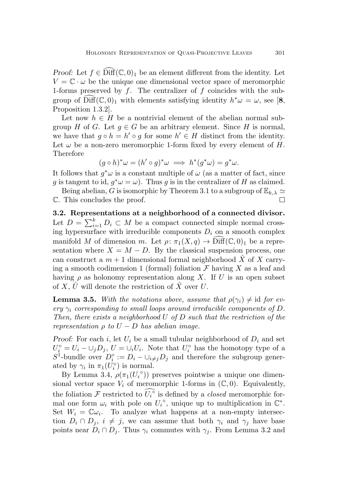Proof: Let  $f \in \text{Diff}(\mathbb{C},0)_1$  be an element different from the identity. Let  $V = \mathbb{C} \cdot \omega$  be the unique one dimensional vector space of meromorphic 1-forms preserved by  $f$ . The centralizer of  $f$  coincides with the subgroup of  $\widehat{\text{Diff}}(\mathbb C, 0)_1$  with elements satisfying identity  $h^*\omega = \omega$ , see [[8](#page-9-6), Proposition 1.3.2].

Let now  $h \in H$  be a nontrivial element of the abelian normal subgroup H of G. Let  $q \in G$  be an arbitrary element. Since H is normal, we have that  $g \circ h = h' \circ g$  for some  $h' \in H$  distinct from the identity. Let  $\omega$  be a non-zero meromorphic 1-form fixed by every element of H. Therefore

$$
(g \circ h)^* \omega = (h' \circ g)^* \omega \implies h^*(g^* \omega) = g^* \omega.
$$

It follows that  $g^*\omega$  is a constant multiple of  $\omega$  (as a matter of fact, since g is tangent to id,  $g^*\omega = \omega$ ). Thus g is in the centralizer of H as claimed.

Being abelian, G is isomorphic by Theorem [3.1](#page-5-1) to a subgroup of  $\mathbb{E}_{k,\lambda} \simeq$ C. This concludes the proof. П

3.2. Representations at a neighborhood of a connected divisor. Let  $D = \sum_{i=1}^{k} D_i \subset M$  be a compact connected simple normal crossing hypersurface with irreducible components  $D_i$  on a smooth complex manifold M of dimension m. Let  $\rho: \pi_1(X,q) \to \text{Diff}(\mathbb{C},0)_1$  be a representation where  $X = M - D$ . By the classical suspension process, one can construct a  $m + 1$  dimensional formal neighborhood X of X carrying a smooth codimension 1 (formal) foliation  $\mathcal F$  having X as a leaf and having  $\rho$  as holonomy representation along X. If U is an open subset of X, U will denote the restriction of X over U.

<span id="page-6-0"></span>**Lemma 3.5.** With the notations above, assume that  $\rho(\gamma_i) \neq id$  for every  $\gamma_i$  corresponding to small loops around irreducible components of D. Then, there exists a neighborhood U of D such that the restriction of the representation  $\rho$  to  $U - D$  has abelian image.

Proof: For each i, let  $U_i$  be a small tubular neighborhood of  $D_i$  and set  $U_i^{\circ} = U_i - \cup_j D_j$ ,  $U = \cup_i U_i$ . Note that  $U_i^{\circ}$  has the homotopy type of a  $S^1$ -bundle over  $D_i^\circ := D_i - \cup_{i \neq j} D_j$  and therefore the subgroup generated by  $\gamma_i$  in  $\pi_1(U_i^{\circ})$  is normal.

By Lemma [3.4,](#page-5-2)  $\rho(\pi_1(U_i^{\circ}))$  preserves pointwise a unique one dimensional vector space  $V_i$  of meromorphic 1-forms in  $(\mathbb{C}, 0)$ . Equivalently, the foliation  $\mathcal F$  restricted to  $\widetilde{U_i}^{\circ}$  is defined by a *closed* meromorphic formal one form  $\omega_i$  with pole on  $U_i^{\circ}$ , unique up to multiplication in  $\mathbb{C}^*$ . Set  $W_i = \mathbb{C} \omega_i$ . To analyze what happens at a non-empty intersection  $D_i \cap D_j$ ,  $i \neq j$ , we can assume that both  $\gamma_i$  and  $\gamma_j$  have base points near  $D_i \cap D_j$ . Thus  $\gamma_i$  commutes with  $\gamma_j$ . From Lemma [3.2](#page-5-0) and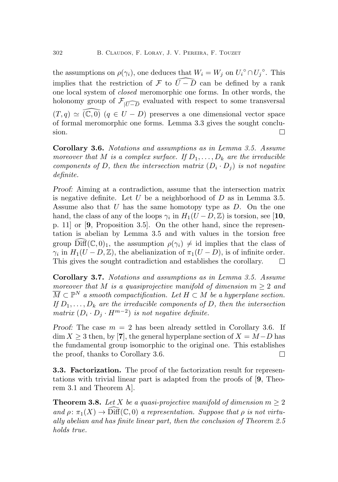the assumptions on  $\rho(\gamma_i)$ , one deduces that  $W_i = W_j$  on  $U_i^{\circ} \cap U_j^{\circ}$ . This implies that the restriction of F to  $\overline{U}-\overline{D}$  can be defined by a rank one local system of closed meromorphic one forms. In other words, the holonomy group of  $\mathcal{F}_{|\widehat{U-D}}$  evaluated with respect to some transversal  $(T, q) \simeq (\mathbb{C}, 0)$   $(q \in U - D)$  preserves a one dimensional vector space of formal meromorphic one forms. Lemma [3.3](#page-5-3) gives the sought conclusion.  $\Box$ 

<span id="page-7-0"></span>Corollary 3.6. Notations and assumptions as in Lemma [3.5.](#page-6-0) Assume moreover that M is a complex surface. If  $D_1, \ldots, D_k$  are the irreducible components of D, then the intersection matrix  $(D_i \cdot D_j)$  is not negative definite.

Proof: Aiming at a contradiction, assume that the intersection matrix is negative definite. Let  $U$  be a neighborhood of  $D$  as in Lemma [3.5.](#page-6-0) Assume also that  $U$  has the same homotopy type as  $D$ . On the one hand, the class of any of the loops  $\gamma_i$  in  $H_1(U - D, \mathbb{Z})$  is torsion, see [[10](#page-10-3), p. 11] or [[9](#page-10-0), Proposition 3.5]. On the other hand, since the representation is abelian by Lemma [3.5](#page-6-0) and with values in the torsion free group  $\text{Diff}(\mathbb{C}, 0)_1$ , the assumption  $\rho(\gamma_i) \neq \text{id}$  implies that the class of  $\gamma_i$  in  $H_1(U - D, \mathbb{Z})$ , the abelianization of  $\pi_1(U - D)$ , is of infinite order. This gives the sought contradiction and establishes the corollary.  $\Box$ 

<span id="page-7-1"></span>Corollary 3.7. Notations and assumptions as in Lemma [3.5.](#page-6-0) Assume moreover that M is a quasiprojective manifold of dimension  $m > 2$  and  $\overline{M} \subset \mathbb{P}^N$  a smooth compactification. Let  $H \subset M$  be a hyperplane section. If  $D_1, \ldots, D_k$  are the irreducible components of D, then the intersection matrix  $(D_i \cdot D_j \cdot H^{m-2})$  is not negative definite.

Proof: The case  $m = 2$  has been already settled in Corollary [3.6.](#page-7-0) If  $\dim X \geq 3$  then, by [[7](#page-9-7)], the general hyperplane section of  $X = M-D$  has the fundamental group isomorphic to the original one. This establishes the proof, thanks to Corollary [3.6.](#page-7-0) П

**3.3. Factorization.** The proof of the factorization result for representations with trivial linear part is adapted from the proofs of [[9](#page-10-0), Theorem 3.1 and Theorem A].

<span id="page-7-2"></span>**Theorem 3.8.** Let X be a quasi-projective manifold of dimension  $m \geq 2$ and  $\rho: \pi_1(X) \to \text{Diff}(\mathbb{C}, 0)$  a representation. Suppose that  $\rho$  is not virtually abelian and has finite linear part, then the conclusion of Theorem [2.5](#page-4-0) holds true.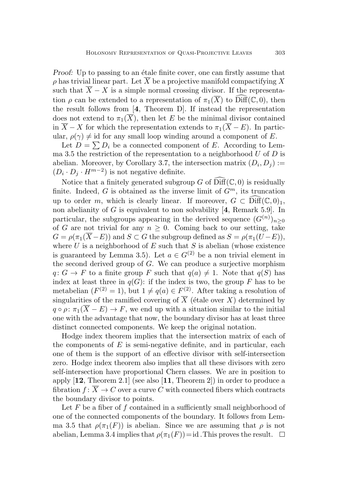Proof: Up to passing to an étale finite cover, one can firstly assume that  $\rho$  has trivial linear part. Let  $\overline{X}$  be a projective manifold compactifying X such that  $\overline{X} - X$  is a simple normal crossing divisor. If the representation  $\rho$  can be extended to a representation of  $\pi_1(\overline{X})$  to  $\text{Diff}(\mathbb{C}, 0)$ , then the result follows from [[4](#page-9-0), Theorem D]. If instead the representation does not extend to  $\pi_1(\overline{X})$ , then let E be the minimal divisor contained in  $\overline{X} - X$  for which the representation extends to  $\pi_1(\overline{X} - E)$ . In particular,  $\rho(\gamma) \neq id$  for any small loop winding around a component of E.

Let  $D = \sum D_i$  be a connected component of E. According to Lem-ma [3.5](#page-6-0) the restriction of the representation to a neighborhood  $U$  of  $D$  is abelian. Moreover, by Corollary [3.7,](#page-7-1) the intersection matrix  $(D_i, D_j) :=$  $(D_i \cdot D_j \cdot H^{m-2})$  is not negative definite.

Notice that a finitely generated subgroup G of  $\widehat{\text{Diff}}(\mathbb{C}, 0)$  is residually finite. Indeed, G is obtained as the inverse limit of  $G<sup>m</sup>$ , its truncation up to order m, which is clearly linear. If moreover,  $G \subset \text{Diff}(\mathbb{C}, 0)_1$ , non abelianity of  $G$  is equivalent to non solvability  $[4,$  $[4,$  $[4,$  Remark 5.9]. In particular, the subgroups appearing in the derived sequence  $(G^{(n)})_{n\geq 0}$ of G are not trivial for any  $n \geq 0$ . Coming back to our setting, take  $G = \rho(\pi_1(\overline{X} - E))$  and  $S \subset G$  the subgroup defined as  $S = \rho(\pi_1(U - E)),$ where  $U$  is a neighborhood of  $E$  such that  $S$  is abelian (whose existence is guaranteed by Lemma [3.5\)](#page-6-0). Let  $a \in G^{(2)}$  be a non trivial element in the second derived group of  $G$ . We can produce a surjective morphism  $q: G \to F$  to a finite group F such that  $q(a) \neq 1$ . Note that  $q(S)$  has index at least three in  $q(G)$ : if the index is two, the group F has to be metabelian  $(F^{(2)} = 1)$ , but  $1 \neq q(a) \in F^{(2)}$ . After taking a resolution of singularities of the ramified covering of  $\overline{X}$  (étale over X) determined by  $q \circ \rho: \pi_1(\overline{X} - E) \to F$ , we end up with a situation similar to the initial one with the advantage that now, the boundary divisor has at least three distinct connected components. We keep the original notation.

Hodge index theorem implies that the intersection matrix of each of the components of  $E$  is semi-negative definite, and in particular, each one of them is the support of an effective divisor with self-intersection zero. Hodge index theorem also implies that all these divisors with zero self-intersection have proportional Chern classes. We are in position to apply  $[12,$  $[12,$  $[12,$  Theorem 2.1] (see also  $[11,$  $[11,$  $[11,$  Theorem 2]) in order to produce a fibration  $f: \overline{X} \to C$  over a curve C with connected fibers which contracts the boundary divisor to points.

Let  $F$  be a fiber of  $f$  contained in a sufficiently small neighborhood of one of the connected components of the boundary. It follows from Lem-ma [3.5](#page-6-0) that  $\rho(\pi_1(F))$  is abelian. Since we are assuming that  $\rho$  is not abelian, Lemma [3.4](#page-5-2) implies that  $\rho(\pi_1(F))=id$ . This proves the result.  $\Box$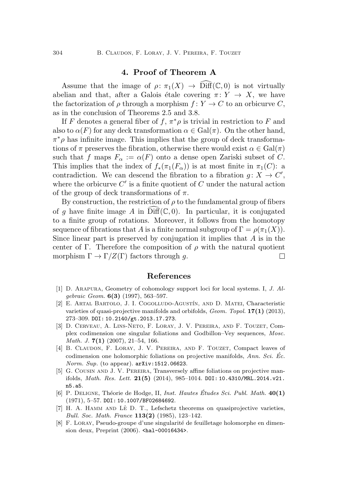## 4. Proof of Theorem [A](#page-0-0)

Assume that the image of  $\rho: \pi_1(X) \to \widehat{\text{Diff}}(\mathbb{C},0)$  is not virtually abelian and that, after a Galois étale covering  $\pi: Y \to X$ , we have the factorization of  $\rho$  through a morphism  $f: Y \to C$  to an orbicurve C, as in the conclusion of Theorems [2.5](#page-4-0) and [3.8.](#page-7-2)

If F denotes a general fiber of  $f, \pi^*\rho$  is trivial in restriction to F and also to  $\alpha(F)$  for any deck transformation  $\alpha \in \text{Gal}(\pi)$ . On the other hand,  $\pi^*\rho$  has infinite image. This implies that the group of deck transformations of  $\pi$  preserves the fibration, otherwise there would exist  $\alpha \in \text{Gal}(\pi)$ such that f maps  $F_{\alpha} := \alpha(F)$  onto a dense open Zariski subset of C. This implies that the index of  $f_*(\pi_1(F_\alpha))$  is at most finite in  $\pi_1(C)$ : a contradiction. We can descend the fibration to a fibration  $g: X \to C'$ , where the orbicurve  $C'$  is a finite quotient of  $C$  under the natural action of the group of deck transformations of  $\pi$ .

By construction, the restriction of  $\rho$  to the fundamental group of fibers of g have finite image A in Diff( $\mathbb C, 0$ ). In particular, it is conjugated to a finite group of rotations. Moreover, it follows from the homotopy sequence of fibrations that A is a finite normal subgroup of  $\Gamma = \rho(\pi_1(X)).$ Since linear part is preserved by conjugation it implies that  $A$  is in the center of Γ. Therefore the composition of  $\rho$  with the natural quotient morphism  $\Gamma \to \Gamma/Z(\Gamma)$  factors through g.  $\Box$ 

#### References

- <span id="page-9-3"></span>[1] D. Arapura, Geometry of cohomology support loci for local systems. I, J. Algebraic Geom. 6(3) (1997), 563–597.
- <span id="page-9-4"></span>[2] E. Artal Bartolo, J. I. Cogolludo-Agust´ın, and D. Matei, Characteristic varieties of quasi-projective manifolds and orbifolds, *Geom. Topol.*  $17(1)$  (2013), 273–309. DOI: [10.2140/gt.2013.17.273](http://dx.doi.org/10.2140/gt.2013.17.273).
- <span id="page-9-1"></span>[3] D. Cerveau, A. Lins-Neto, F. Loray, J. V. Pereira, and F. Touzet, Complex codimension one singular foliations and Godbillon–Vey sequences, Mosc. *Math. J.*  $7(1)$   $(2007)$ ,  $21-54$ , 166.
- <span id="page-9-0"></span>[4] B. CLAUDON, F. LORAY, J. V. PEREIRA, AND F. TOUZET, Compact leaves of codimension one holomorphic foliations on projective manifolds,  $Ann. Sci. Éc.$ Norm. Sup. (to appear). [arXiv:1512.06623](https://arxiv.org/abs/1512.06623).
- <span id="page-9-5"></span>[5] G. Cousin and J. V. Pereira, Transversely affine foliations on projective manifolds, *Math. Res. Lett.*  $21(5)$  (2014), 985-1014. DOI: [10.4310/MRL.2014.v21.](https://doi.org/10.4310/MRL.2014.v21.n5.a5) [n5.a5](https://doi.org/10.4310/MRL.2014.v21.n5.a5).
- <span id="page-9-2"></span>[6] P. DELIGNE, Théorie de Hodge, II, Inst. Hautes Études Sci. Publ. Math.  $40(1)$ (1971), 5–57. DOI: [10.1007/BF02684692](http://dx.doi.org/10.1007/BF02684692).
- <span id="page-9-7"></span>[7] H. A. HAMM AND LÊ D. T., Lefschetz theorems on quasiprojective varieties, Bull. Soc. Math. France 113(2) (1985), 123–142.
- <span id="page-9-6"></span>[8] F. LORAY, Pseudo-groupe d'une singularité de feuilletage holomorphe en dimension deux, Preprint (2006). [<hal-00016434>](https://hal.archives-ouvertes.fr/hal-00016434).